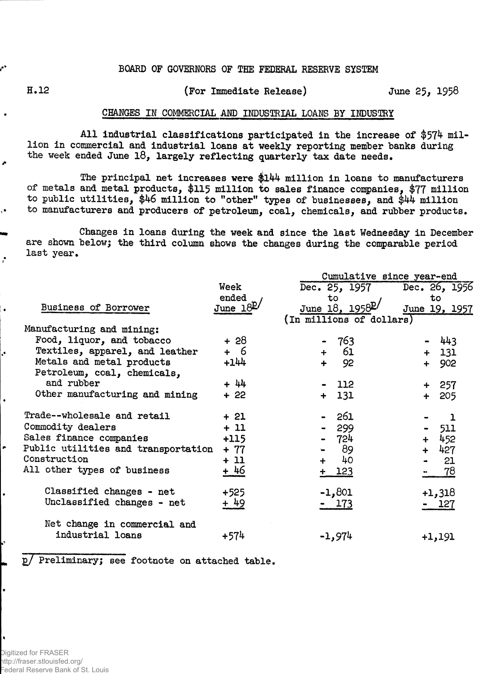## **BOARD OF GOVERNORS OF THE FEDERAL RESERVE SYSTEM**

J.

 $\ddot{\bullet}$ 

## **H.12 (For Immediate Release) June 2\$, 1958**

## **CHANGES IK COMMERCIAL AMD INDUSTRIAL LOANS BY INDUSTRY**

**All Industrial classifications participated in the increase of \$574 million in commercial and industrial loans at weekly reporting member banks during the week ended June 18, largely reflecting quarterly tax date needs.**

**The principal net increases were \$144 million in loans to manufacturers of metals and metal products, \$115 million to sales finance companies, \$77 million to public utilities, \$46 million to "other" types of businesses, and \$44 million to manufacturers and producers of petroleum, coal, chemicals, and rubber products.**

**Changes in loans during the week and since the last Wednesday in December are shown below; the third column shows the changes during the comparable period last year.**

|                                     |            | Cumulative since year-end   |                             |  |  |  |  |  |
|-------------------------------------|------------|-----------------------------|-----------------------------|--|--|--|--|--|
|                                     | Week       | Dec. 25, 1957               | Dec. 26, 1956               |  |  |  |  |  |
|                                     | ended      | to                          | to                          |  |  |  |  |  |
| Business of Borrower                | June $18E$ | June 18, 1958 <sup>p/</sup> | June 19, 1957               |  |  |  |  |  |
|                                     |            | (In millions of dollars)    |                             |  |  |  |  |  |
| Manufacturing and mining:           |            |                             |                             |  |  |  |  |  |
| Food, liquor, and tobacco           | + 28       | 763                         | 443                         |  |  |  |  |  |
| Textiles, apparel, and leather      | + 6        | 61<br>$+$                   | $+ 131$                     |  |  |  |  |  |
| Metals and metal products           | $+144$     | 92<br>$\ddotmark$           | 902<br>$+$                  |  |  |  |  |  |
| Petroleum, coal, chemicals,         |            |                             |                             |  |  |  |  |  |
| and rubber                          | $+ 44$     | 112                         | $+ 257$                     |  |  |  |  |  |
| Other manufacturing and mining      | $+22$      | 131<br>$+$                  |                             |  |  |  |  |  |
|                                     |            |                             | 205<br>$+$                  |  |  |  |  |  |
| Trade--wholesale and retail         | + 21       | 261                         | ı                           |  |  |  |  |  |
| Commodity dealers                   | $+11$      | 299                         | 511                         |  |  |  |  |  |
| Sales finance companies             | $+115$     | 724                         | 452<br>$\ddot{\phantom{1}}$ |  |  |  |  |  |
| Public utilities and transportation | $+ 77$     | 89                          | 427<br>$+$                  |  |  |  |  |  |
| Construction                        | $+11$      | 40<br>$\ddot{+}$            | 21                          |  |  |  |  |  |
| All other types of business         | + 46       |                             |                             |  |  |  |  |  |
|                                     |            | $+ 123$                     | 78                          |  |  |  |  |  |
| Classified changes - net            | $+525$     | $-1,801$                    | $+1,318$                    |  |  |  |  |  |
| Unclassified changes - net          | + 49       | 173                         | - 127                       |  |  |  |  |  |
|                                     |            |                             |                             |  |  |  |  |  |
| Net change in commercial and        |            |                             |                             |  |  |  |  |  |
| industrial loans                    | +574       | -1,974                      | +1,191                      |  |  |  |  |  |
|                                     |            |                             |                             |  |  |  |  |  |

**£./ Preliminary; see footnote on attached table.**